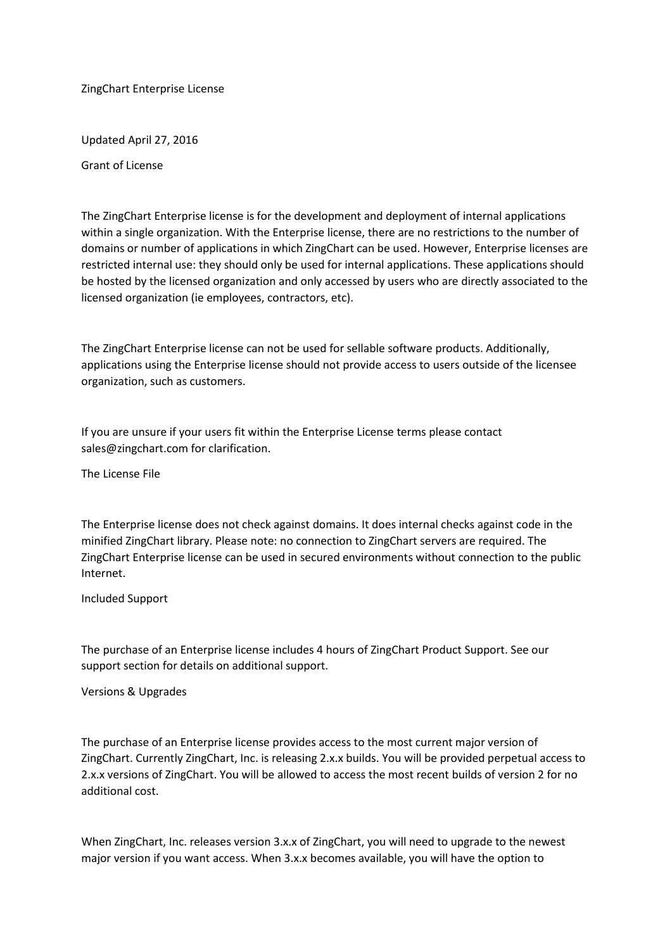ZingChart Enterprise License

Updated April 27, 2016

Grant of License

The ZingChart Enterprise license is for the development and deployment of internal applications within a single organization. With the Enterprise license, there are no restrictions to the number of domains or number of applications in which ZingChart can be used. However, Enterprise licenses are restricted internal use: they should only be used for internal applications. These applications should be hosted by the licensed organization and only accessed by users who are directly associated to the licensed organization (ie employees, contractors, etc).

The ZingChart Enterprise license can not be used for sellable software products. Additionally, applications using the Enterprise license should not provide access to users outside of the licensee organization, such as customers.

If you are unsure if your users fit within the Enterprise License terms please contact sales@zingchart.com for clarification.

The License File

The Enterprise license does not check against domains. It does internal checks against code in the minified ZingChart library. Please note: no connection to ZingChart servers are required. The ZingChart Enterprise license can be used in secured environments without connection to the public Internet.

Included Support

The purchase of an Enterprise license includes 4 hours of ZingChart Product Support. See our support section for details on additional support.

Versions & Upgrades

The purchase of an Enterprise license provides access to the most current major version of ZingChart. Currently ZingChart, Inc. is releasing 2.x.x builds. You will be provided perpetual access to 2.x.x versions of ZingChart. You will be allowed to access the most recent builds of version 2 for no additional cost.

When ZingChart, Inc. releases version 3.x.x of ZingChart, you will need to upgrade to the newest major version if you want access. When 3.x.x becomes available, you will have the option to